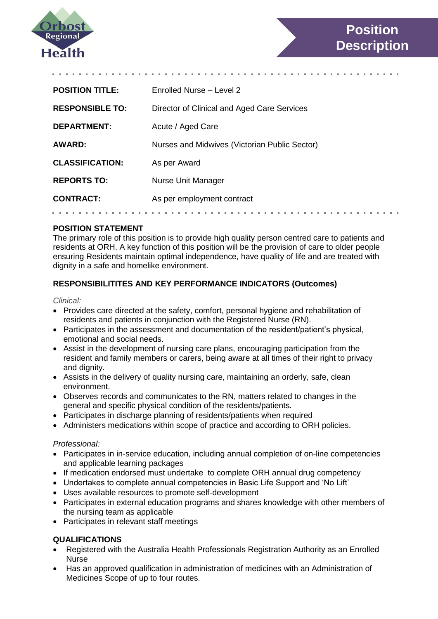

| <b>POSITION TITLE:</b> | Enrolled Nurse - Level 2                      |  |  |  |  |  |  |  |
|------------------------|-----------------------------------------------|--|--|--|--|--|--|--|
| <b>RESPONSIBLE TO:</b> | Director of Clinical and Aged Care Services   |  |  |  |  |  |  |  |
| <b>DEPARTMENT:</b>     | Acute / Aged Care                             |  |  |  |  |  |  |  |
| <b>AWARD:</b>          | Nurses and Midwives (Victorian Public Sector) |  |  |  |  |  |  |  |
| <b>CLASSIFICATION:</b> | As per Award                                  |  |  |  |  |  |  |  |
| <b>REPORTS TO:</b>     | Nurse Unit Manager                            |  |  |  |  |  |  |  |
| <b>CONTRACT:</b>       | As per employment contract                    |  |  |  |  |  |  |  |
|                        |                                               |  |  |  |  |  |  |  |

#### **POSITION STATEMENT**

The primary role of this position is to provide high quality person centred care to patients and residents at ORH. A key function of this position will be the provision of care to older people ensuring Residents maintain optimal independence, have quality of life and are treated with dignity in a safe and homelike environment.

### **RESPONSIBILITITES AND KEY PERFORMANCE INDICATORS (Outcomes)**

#### *Clinical:*

- Provides care directed at the safety, comfort, personal hygiene and rehabilitation of residents and patients in conjunction with the Registered Nurse (RN).
- Participates in the assessment and documentation of the resident/patient's physical, emotional and social needs.
- Assist in the development of nursing care plans, encouraging participation from the resident and family members or carers, being aware at all times of their right to privacy and dignity.
- Assists in the delivery of quality nursing care, maintaining an orderly, safe, clean environment.
- Observes records and communicates to the RN, matters related to changes in the general and specific physical condition of the residents/patients.
- Participates in discharge planning of residents/patients when required
- Administers medications within scope of practice and according to ORH policies.

#### *Professional:*

- Participates in in-service education, including annual completion of on-line competencies and applicable learning packages
- If medication endorsed must undertake to complete ORH annual drug competency
- Undertakes to complete annual competencies in Basic Life Support and 'No Lift'
- Uses available resources to promote self-development
- Participates in external education programs and shares knowledge with other members of the nursing team as applicable
- Participates in relevant staff meetings

## **QUALIFICATIONS**

- Registered with the Australia Health Professionals Registration Authority as an Enrolled Nurse
- Has an approved qualification in administration of medicines with an Administration of Medicines Scope of up to four routes.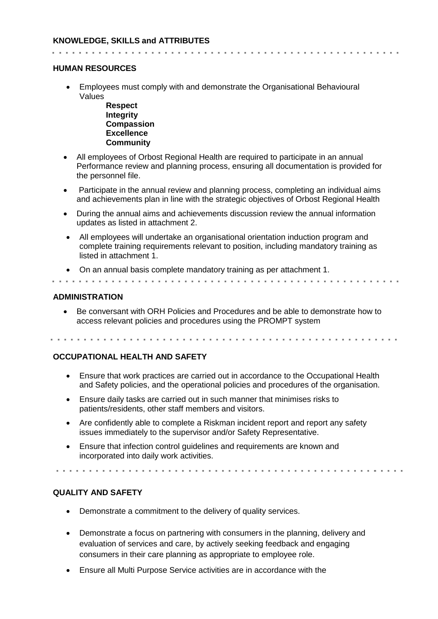**HUMAN RESOURCES**

. . . . . . . . . . . . . . . . . . .

 Employees must comply with and demonstrate the Organisational Behavioural Values

**Respect Integrity Compassion Excellence Community**

- All employees of Orbost Regional Health are required to participate in an annual Performance review and planning process, ensuring all documentation is provided for the personnel file.
- Participate in the annual review and planning process, completing an individual aims and achievements plan in line with the strategic objectives of Orbost Regional Health
- During the annual aims and achievements discussion review the annual information updates as listed in attachment 2.
- All employees will undertake an organisational orientation induction program and complete training requirements relevant to position, including mandatory training as listed in attachment 1.
- On an annual basis complete mandatory training as per attachment 1.

#### **ADMINISTRATION**

 Be conversant with ORH Policies and Procedures and be able to demonstrate how to access relevant policies and procedures using the PROMPT system

#### **OCCUPATIONAL HEALTH AND SAFETY**

- Ensure that work practices are carried out in accordance to the Occupational Health and Safety policies, and the operational policies and procedures of the organisation.
- Ensure daily tasks are carried out in such manner that minimises risks to patients/residents, other staff members and visitors.
- Are confidently able to complete a Riskman incident report and report any safety issues immediately to the supervisor and/or Safety Representative.
- Ensure that infection control guidelines and requirements are known and incorporated into daily work activities.

#### **QUALITY AND SAFETY**

- Demonstrate a commitment to the delivery of quality services.
- Demonstrate a focus on partnering with consumers in the planning, delivery and evaluation of services and care, by actively seeking feedback and engaging consumers in their care planning as appropriate to employee role.
- Ensure all Multi Purpose Service activities are in accordance with the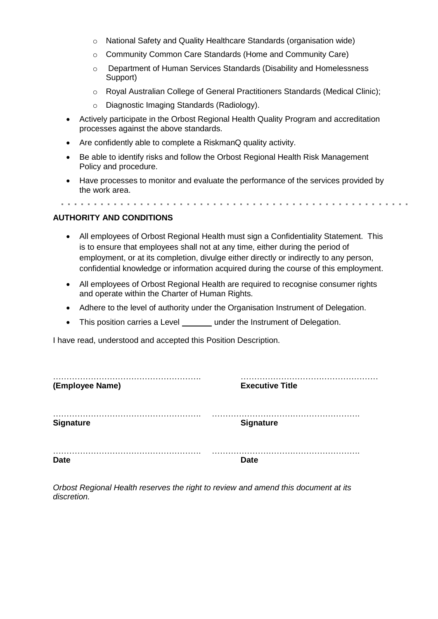- o National Safety and Quality Healthcare Standards (organisation wide)
- o Community Common Care Standards (Home and Community Care)
- o Department of Human Services Standards (Disability and Homelessness Support)
- o Royal Australian College of General Practitioners Standards (Medical Clinic);
- o Diagnostic Imaging Standards (Radiology).
- Actively participate in the Orbost Regional Health Quality Program and accreditation processes against the above standards.
- Are confidently able to complete a RiskmanQ quality activity.
- Be able to identify risks and follow the Orbost Regional Health Risk Management Policy and procedure.
- Have processes to monitor and evaluate the performance of the services provided by the work area.

### **AUTHORITY AND CONDITIONS**

- All employees of Orbost Regional Health must sign a Confidentiality Statement. This is to ensure that employees shall not at any time, either during the period of employment, or at its completion, divulge either directly or indirectly to any person, confidential knowledge or information acquired during the course of this employment.
- All employees of Orbost Regional Health are required to recognise consumer rights and operate within the Charter of Human Rights.
- Adhere to the level of authority under the Organisation Instrument of Delegation.
- This position carries a Level under the Instrument of Delegation.

I have read, understood and accepted this Position Description.

| (Employee Name)  | <b>Executive Title</b> |
|------------------|------------------------|
| <b>Signature</b> | <b>Signature</b>       |
| <b>Date</b>      | <b>Date</b>            |

*Orbost Regional Health reserves the right to review and amend this document at its discretion.*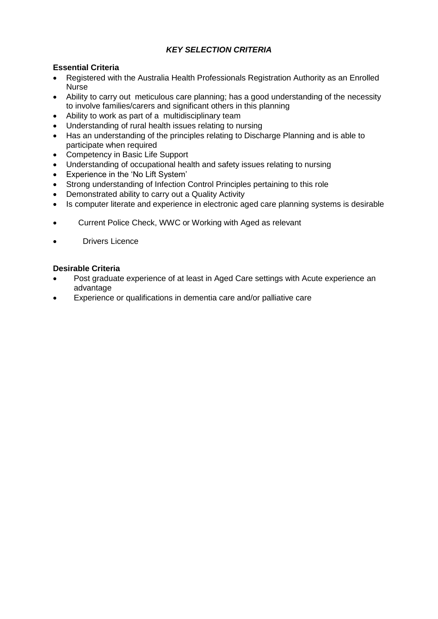## *KEY SELECTION CRITERIA*

## **Essential Criteria**

- Registered with the Australia Health Professionals Registration Authority as an Enrolled Nurse
- Ability to carry out meticulous care planning; has a good understanding of the necessity to involve families/carers and significant others in this planning
- Ability to work as part of a multidisciplinary team
- Understanding of rural health issues relating to nursing
- Has an understanding of the principles relating to Discharge Planning and is able to participate when required
- Competency in Basic Life Support
- Understanding of occupational health and safety issues relating to nursing
- Experience in the 'No Lift System'
- Strong understanding of Infection Control Principles pertaining to this role
- Demonstrated ability to carry out a Quality Activity
- Is computer literate and experience in electronic aged care planning systems is desirable
- Current Police Check, WWC or Working with Aged as relevant
- Drivers Licence

### **Desirable Criteria**

- Post graduate experience of at least in Aged Care settings with Acute experience an advantage
- Experience or qualifications in dementia care and/or palliative care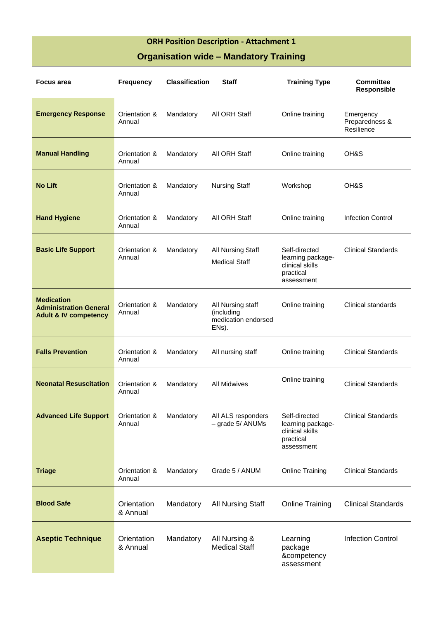# **ORH Position Description - Attachment 1**

# **Organisation wide – Mandatory Training**

| <b>Focus area</b>                                                                      | <b>Frequency</b>        | <b>Classification</b> | <b>Staff</b>                                                    | <b>Training Type</b>                                                             | <b>Committee</b><br>Responsible           |
|----------------------------------------------------------------------------------------|-------------------------|-----------------------|-----------------------------------------------------------------|----------------------------------------------------------------------------------|-------------------------------------------|
| <b>Emergency Response</b>                                                              | Orientation &<br>Annual | Mandatory             | All ORH Staff                                                   | Online training                                                                  | Emergency<br>Preparedness &<br>Resilience |
| <b>Manual Handling</b>                                                                 | Orientation &<br>Annual | Mandatory             | All ORH Staff                                                   | Online training                                                                  | OH&S                                      |
| <b>No Lift</b>                                                                         | Orientation &<br>Annual | Mandatory             | <b>Nursing Staff</b>                                            | Workshop                                                                         | OH&S                                      |
| <b>Hand Hygiene</b>                                                                    | Orientation &<br>Annual | Mandatory             | All ORH Staff                                                   | Online training                                                                  | <b>Infection Control</b>                  |
| <b>Basic Life Support</b>                                                              | Orientation &<br>Annual | Mandatory             | All Nursing Staff<br><b>Medical Staff</b>                       | Self-directed<br>learning package-<br>clinical skills<br>practical<br>assessment | <b>Clinical Standards</b>                 |
| <b>Medication</b><br><b>Administration General</b><br><b>Adult &amp; IV competency</b> | Orientation &<br>Annual | Mandatory             | All Nursing staff<br>(including<br>medication endorsed<br>ENs). | Online training                                                                  | Clinical standards                        |
| <b>Falls Prevention</b>                                                                | Orientation &<br>Annual | Mandatory             | All nursing staff                                               | Online training                                                                  | <b>Clinical Standards</b>                 |
| <b>Neonatal Resuscitation</b>                                                          | Orientation &<br>Annual | Mandatory             | <b>All Midwives</b>                                             | Online training                                                                  | <b>Clinical Standards</b>                 |
| <b>Advanced Life Support</b>                                                           | Orientation &<br>Annual | Mandatory             | All ALS responders<br>$-$ grade 5/ ANUMs                        | Self-directed<br>learning package-<br>clinical skills<br>practical<br>assessment | <b>Clinical Standards</b>                 |
| <b>Triage</b>                                                                          | Orientation &<br>Annual | Mandatory             | Grade 5 / ANUM                                                  | <b>Online Training</b>                                                           | <b>Clinical Standards</b>                 |
| <b>Blood Safe</b>                                                                      | Orientation<br>& Annual | Mandatory             | <b>All Nursing Staff</b>                                        | <b>Online Training</b>                                                           | <b>Clinical Standards</b>                 |
| <b>Aseptic Technique</b>                                                               | Orientation<br>& Annual | Mandatory             | All Nursing &<br><b>Medical Staff</b>                           | Learning<br>package<br>&competency<br>assessment                                 | <b>Infection Control</b>                  |